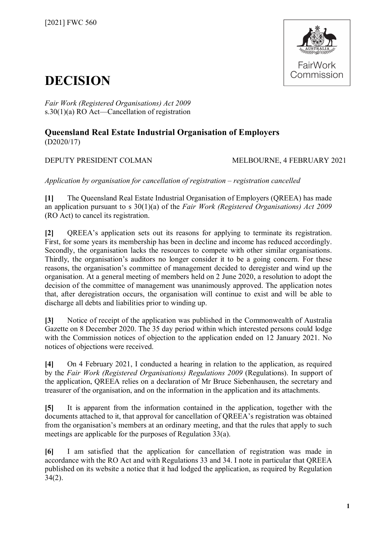

## **DECISION**

*Fair Work (Registered Organisations) Act 2009*  s.30(1)(a) RO Act—Cancellation of registration

## **Queensland Real Estate Industrial Organisation of Employers** (D2020/17)

DEPUTY PRESIDENT COLMAN MELBOURNE, 4 FEBRUARY 2021

*Application by organisation for cancellation of registration – registration cancelled*

**[1]** The Queensland Real Estate Industrial Organisation of Employers (QREEA) has made an application pursuant to s 30(1)(a) of the *Fair Work (Registered Organisations) Act 2009* (RO Act) to cancel its registration.

**[2]** QREEA's application sets out its reasons for applying to terminate its registration. First, for some years its membership has been in decline and income has reduced accordingly. Secondly, the organisation lacks the resources to compete with other similar organisations. Thirdly, the organisation's auditors no longer consider it to be a going concern. For these reasons, the organisation's committee of management decided to deregister and wind up the organisation. At a general meeting of members held on 2 June 2020, a resolution to adopt the decision of the committee of management was unanimously approved. The application notes that, after deregistration occurs, the organisation will continue to exist and will be able to discharge all debts and liabilities prior to winding up.

**[3]** Notice of receipt of the application was published in the Commonwealth of Australia Gazette on 8 December 2020. The 35 day period within which interested persons could lodge with the Commission notices of objection to the application ended on 12 January 2021. No notices of objections were received.

**[4]** On 4 February 2021, I conducted a hearing in relation to the application, as required by the *Fair Work (Registered Organisations) Regulations 2009* (Regulations). In support of the application, QREEA relies on a declaration of Mr Bruce Siebenhausen, the secretary and treasurer of the organisation, and on the information in the application and its attachments.

**[5]** It is apparent from the information contained in the application, together with the documents attached to it, that approval for cancellation of QREEA's registration was obtained from the organisation's members at an ordinary meeting, and that the rules that apply to such meetings are applicable for the purposes of Regulation 33(a).

**[6]** I am satisfied that the application for cancellation of registration was made in accordance with the RO Act and with Regulations 33 and 34. I note in particular that QREEA published on its website a notice that it had lodged the application, as required by Regulation  $34(2)$ .